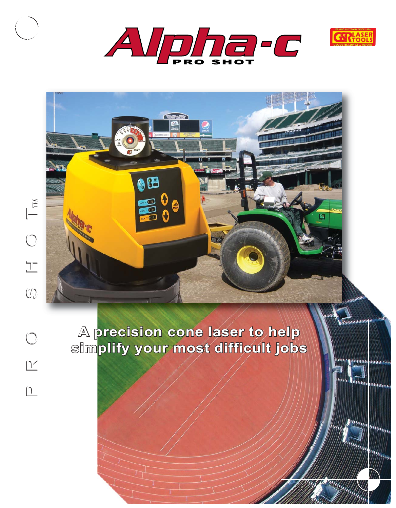



**THEMMMMMM** 

**Distriction** 

**Pumma** 

**Information** 

*<u>Inggress</u>* 

**State Distriction** 



**A precision precision cone laser to help A cone laser to help simplify simplify your most difficult ifficult jobs your most**

88

 $\overline{\sigma}$ 

 $\boxed{1}$ 

 $\underline{Y}$